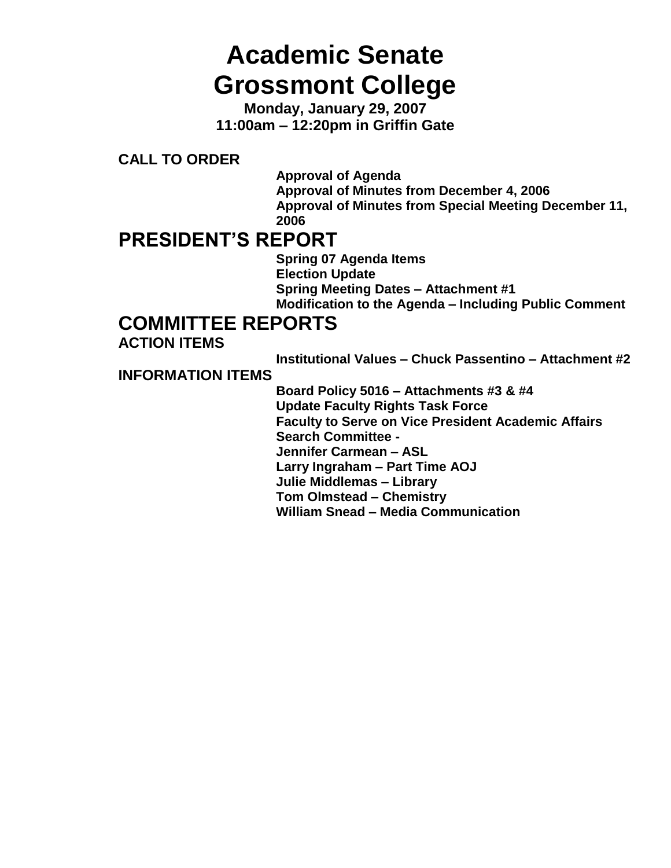# **Academic Senate Grossmont College**

**Monday, January 29, 2007 11:00am – 12:20pm in Griffin Gate**

**CALL TO ORDER**

**Approval of Agenda Approval of Minutes from December 4, 2006 Approval of Minutes from Special Meeting December 11, 2006**

# **PRESIDENT'S REPORT**

**Spring 07 Agenda Items Election Update Spring Meeting Dates – Attachment #1 Modification to the Agenda – Including Public Comment**

# **COMMITTEE REPORTS**

**ACTION ITEMS**

**Institutional Values – Chuck Passentino – Attachment #2**

**INFORMATION ITEMS**

**Board Policy 5016 – Attachments #3 & #4 Update Faculty Rights Task Force Faculty to Serve on Vice President Academic Affairs Search Committee - Jennifer Carmean – ASL Larry Ingraham – Part Time AOJ Julie Middlemas – Library Tom Olmstead – Chemistry William Snead – Media Communication**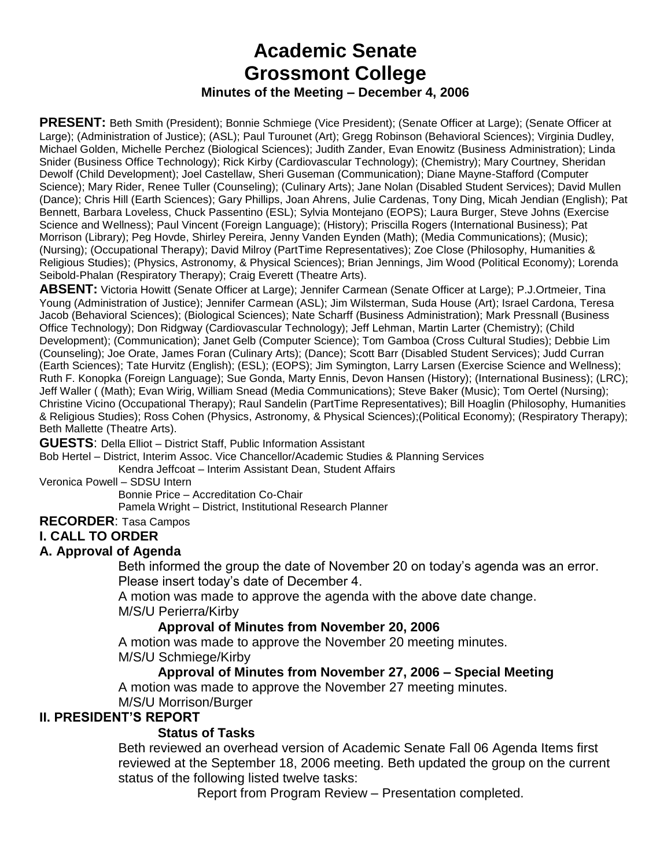# **Academic Senate Grossmont College Minutes of the Meeting – December 4, 2006**

**PRESENT:** Beth Smith (President); Bonnie Schmiege (Vice President); (Senate Officer at Large); (Senate Officer at Large); (Administration of Justice); (ASL); Paul Turounet (Art); Gregg Robinson (Behavioral Sciences); Virginia Dudley, Michael Golden, Michelle Perchez (Biological Sciences); Judith Zander, Evan Enowitz (Business Administration); Linda Snider (Business Office Technology); Rick Kirby (Cardiovascular Technology); (Chemistry); Mary Courtney, Sheridan Dewolf (Child Development); Joel Castellaw, Sheri Guseman (Communication); Diane Mayne-Stafford (Computer Science); Mary Rider, Renee Tuller (Counseling); (Culinary Arts); Jane Nolan (Disabled Student Services); David Mullen (Dance); Chris Hill (Earth Sciences); Gary Phillips, Joan Ahrens, Julie Cardenas, Tony Ding, Micah Jendian (English); Pat Bennett, Barbara Loveless, Chuck Passentino (ESL); Sylvia Montejano (EOPS); Laura Burger, Steve Johns (Exercise Science and Wellness); Paul Vincent (Foreign Language); (History); Priscilla Rogers (International Business); Pat Morrison (Library); Peg Hovde, Shirley Pereira, Jenny Vanden Eynden (Math); (Media Communications); (Music); (Nursing); (Occupational Therapy); David Milroy (PartTime Representatives); Zoe Close (Philosophy, Humanities & Religious Studies); (Physics, Astronomy, & Physical Sciences); Brian Jennings, Jim Wood (Political Economy); Lorenda Seibold-Phalan (Respiratory Therapy); Craig Everett (Theatre Arts).

**ABSENT:** Victoria Howitt (Senate Officer at Large); Jennifer Carmean (Senate Officer at Large); P.J.Ortmeier, Tina Young (Administration of Justice); Jennifer Carmean (ASL); Jim Wilsterman, Suda House (Art); Israel Cardona, Teresa Jacob (Behavioral Sciences); (Biological Sciences); Nate Scharff (Business Administration); Mark Pressnall (Business Office Technology); Don Ridgway (Cardiovascular Technology); Jeff Lehman, Martin Larter (Chemistry); (Child Development); (Communication); Janet Gelb (Computer Science); Tom Gamboa (Cross Cultural Studies); Debbie Lim (Counseling); Joe Orate, James Foran (Culinary Arts); (Dance); Scott Barr (Disabled Student Services); Judd Curran (Earth Sciences); Tate Hurvitz (English); (ESL); (EOPS); Jim Symington, Larry Larsen (Exercise Science and Wellness); Ruth F. Konopka (Foreign Language); Sue Gonda, Marty Ennis, Devon Hansen (History); (International Business); (LRC); Jeff Waller ( (Math); Evan Wirig, William Snead (Media Communications); Steve Baker (Music); Tom Oertel (Nursing); Christine Vicino (Occupational Therapy); Raul Sandelin (PartTime Representatives); Bill Hoaglin (Philosophy, Humanities & Religious Studies); Ross Cohen (Physics, Astronomy, & Physical Sciences);(Political Economy); (Respiratory Therapy); Beth Mallette (Theatre Arts).

**GUESTS**: Della Elliot – District Staff, Public Information Assistant

Bob Hertel – District, Interim Assoc. Vice Chancellor/Academic Studies & Planning Services

Kendra Jeffcoat – Interim Assistant Dean, Student Affairs

Veronica Powell – SDSU Intern

Bonnie Price – Accreditation Co-Chair

Pamela Wright – District, Institutional Research Planner

**RECORDER**: Tasa Campos

### **I. CALL TO ORDER**

### **A. Approval of Agenda**

Beth informed the group the date of November 20 on today's agenda was an error. Please insert today's date of December 4.

A motion was made to approve the agenda with the above date change. M/S/U Perierra/Kirby

#### **Approval of Minutes from November 20, 2006**

A motion was made to approve the November 20 meeting minutes. M/S/U Schmiege/Kirby

### **Approval of Minutes from November 27, 2006 – Special Meeting**

A motion was made to approve the November 27 meeting minutes.

M/S/U Morrison/Burger

### **II. PRESIDENT'S REPORT**

### **Status of Tasks**

Beth reviewed an overhead version of Academic Senate Fall 06 Agenda Items first reviewed at the September 18, 2006 meeting. Beth updated the group on the current status of the following listed twelve tasks:

Report from Program Review – Presentation completed.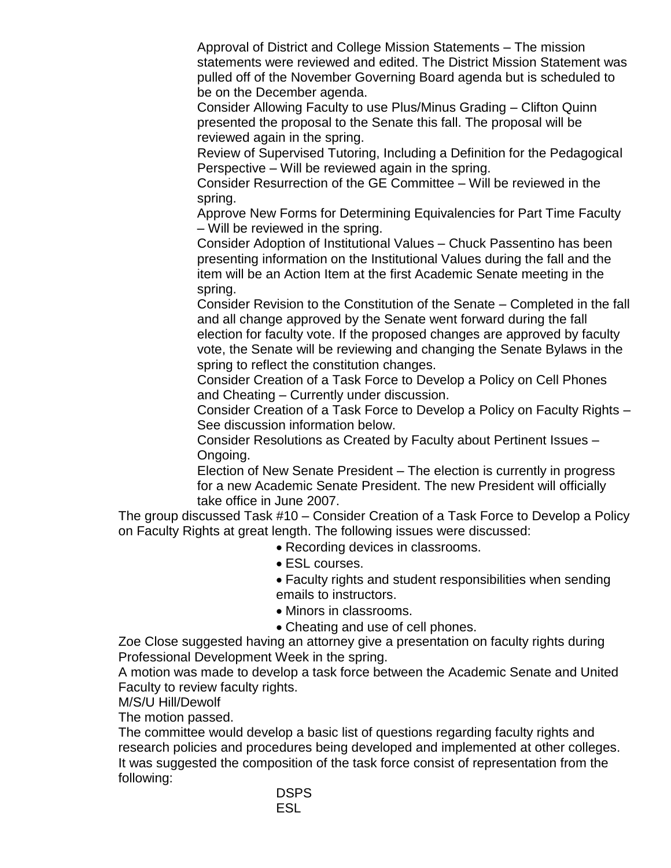Approval of District and College Mission Statements – The mission statements were reviewed and edited. The District Mission Statement was pulled off of the November Governing Board agenda but is scheduled to be on the December agenda.

Consider Allowing Faculty to use Plus/Minus Grading – Clifton Quinn presented the proposal to the Senate this fall. The proposal will be reviewed again in the spring.

Review of Supervised Tutoring, Including a Definition for the Pedagogical Perspective – Will be reviewed again in the spring.

Consider Resurrection of the GE Committee – Will be reviewed in the spring.

Approve New Forms for Determining Equivalencies for Part Time Faculty – Will be reviewed in the spring.

Consider Adoption of Institutional Values – Chuck Passentino has been presenting information on the Institutional Values during the fall and the item will be an Action Item at the first Academic Senate meeting in the spring.

Consider Revision to the Constitution of the Senate – Completed in the fall and all change approved by the Senate went forward during the fall election for faculty vote. If the proposed changes are approved by faculty vote, the Senate will be reviewing and changing the Senate Bylaws in the spring to reflect the constitution changes.

Consider Creation of a Task Force to Develop a Policy on Cell Phones and Cheating – Currently under discussion.

Consider Creation of a Task Force to Develop a Policy on Faculty Rights – See discussion information below.

Consider Resolutions as Created by Faculty about Pertinent Issues – Ongoing.

Election of New Senate President – The election is currently in progress for a new Academic Senate President. The new President will officially take office in June 2007.

The group discussed Task #10 – Consider Creation of a Task Force to Develop a Policy on Faculty Rights at great length. The following issues were discussed:

- Recording devices in classrooms.
- ESL courses.

Faculty rights and student responsibilities when sending emails to instructors.

- Minors in classrooms.
- Cheating and use of cell phones.

Zoe Close suggested having an attorney give a presentation on faculty rights during Professional Development Week in the spring.

A motion was made to develop a task force between the Academic Senate and United Faculty to review faculty rights.

M/S/U Hill/Dewolf

The motion passed.

The committee would develop a basic list of questions regarding faculty rights and research policies and procedures being developed and implemented at other colleges. It was suggested the composition of the task force consist of representation from the following: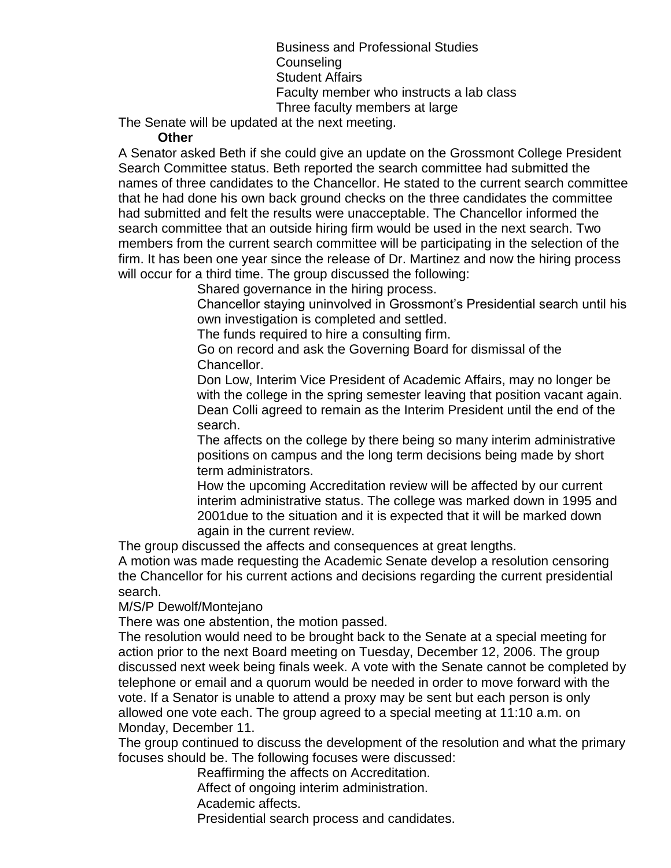Business and Professional Studies Counseling Student Affairs Faculty member who instructs a lab class Three faculty members at large

The Senate will be updated at the next meeting.

#### **Other**

A Senator asked Beth if she could give an update on the Grossmont College President Search Committee status. Beth reported the search committee had submitted the names of three candidates to the Chancellor. He stated to the current search committee that he had done his own back ground checks on the three candidates the committee had submitted and felt the results were unacceptable. The Chancellor informed the search committee that an outside hiring firm would be used in the next search. Two members from the current search committee will be participating in the selection of the firm. It has been one year since the release of Dr. Martinez and now the hiring process will occur for a third time. The group discussed the following:

Shared governance in the hiring process.

Chancellor staying uninvolved in Grossmont's Presidential search until his own investigation is completed and settled.

The funds required to hire a consulting firm.

Go on record and ask the Governing Board for dismissal of the Chancellor.

Don Low, Interim Vice President of Academic Affairs, may no longer be with the college in the spring semester leaving that position vacant again. Dean Colli agreed to remain as the Interim President until the end of the search.

The affects on the college by there being so many interim administrative positions on campus and the long term decisions being made by short term administrators.

How the upcoming Accreditation review will be affected by our current interim administrative status. The college was marked down in 1995 and 2001due to the situation and it is expected that it will be marked down again in the current review.

The group discussed the affects and consequences at great lengths.

A motion was made requesting the Academic Senate develop a resolution censoring the Chancellor for his current actions and decisions regarding the current presidential search.

### M/S/P Dewolf/Montejano

There was one abstention, the motion passed.

The resolution would need to be brought back to the Senate at a special meeting for action prior to the next Board meeting on Tuesday, December 12, 2006. The group discussed next week being finals week. A vote with the Senate cannot be completed by telephone or email and a quorum would be needed in order to move forward with the vote. If a Senator is unable to attend a proxy may be sent but each person is only allowed one vote each. The group agreed to a special meeting at 11:10 a.m. on Monday, December 11.

The group continued to discuss the development of the resolution and what the primary focuses should be. The following focuses were discussed:

Reaffirming the affects on Accreditation.

Affect of ongoing interim administration.

Academic affects.

Presidential search process and candidates.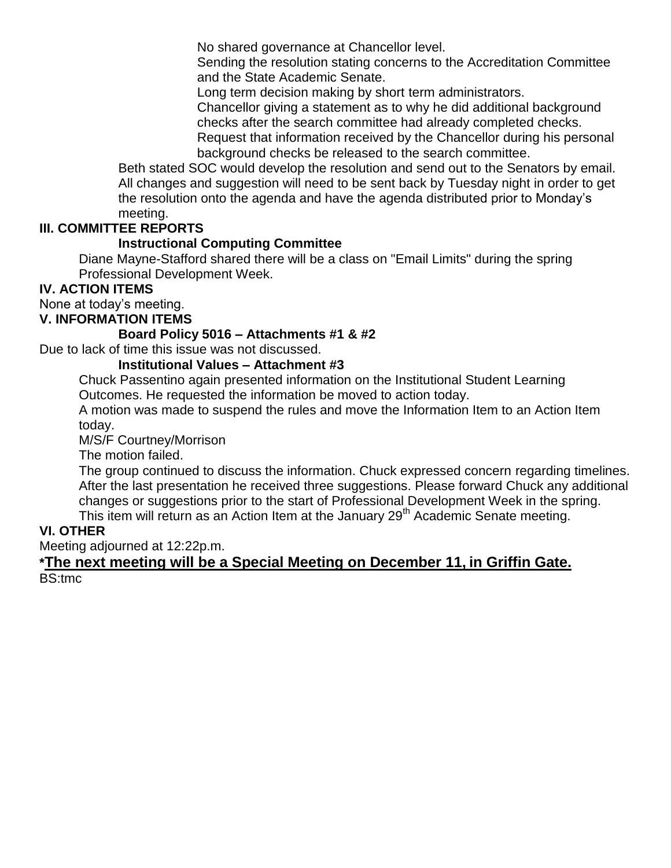No shared governance at Chancellor level.

Sending the resolution stating concerns to the Accreditation Committee and the State Academic Senate.

Long term decision making by short term administrators.

Chancellor giving a statement as to why he did additional background checks after the search committee had already completed checks. Request that information received by the Chancellor during his personal background checks be released to the search committee.

Beth stated SOC would develop the resolution and send out to the Senators by email. All changes and suggestion will need to be sent back by Tuesday night in order to get the resolution onto the agenda and have the agenda distributed prior to Monday's meeting.

# **III. COMMITTEE REPORTS**

### **Instructional Computing Committee**

Diane Mayne-Stafford shared there will be a class on "Email Limits" during the spring Professional Development Week.

# **IV. ACTION ITEMS**

None at today's meeting.

# **V. INFORMATION ITEMS**

### **Board Policy 5016 – Attachments #1 & #2**

Due to lack of time this issue was not discussed.

### **Institutional Values – Attachment #3**

Chuck Passentino again presented information on the Institutional Student Learning Outcomes. He requested the information be moved to action today.

A motion was made to suspend the rules and move the Information Item to an Action Item today.

M/S/F Courtney/Morrison

The motion failed.

The group continued to discuss the information. Chuck expressed concern regarding timelines. After the last presentation he received three suggestions. Please forward Chuck any additional changes or suggestions prior to the start of Professional Development Week in the spring. This item will return as an Action Item at the January 29<sup>th</sup> Academic Senate meeting.

### **VI. OTHER**

Meeting adjourned at 12:22p.m.

### **\*The next meeting will be a Special Meeting on December 11, in Griffin Gate.** BS:tmc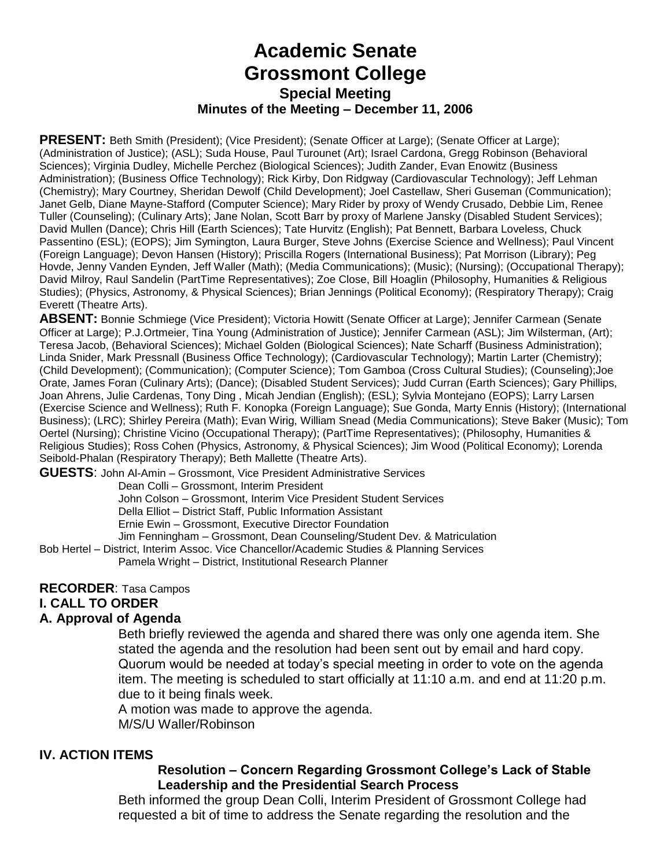# **Academic Senate Grossmont College Special Meeting Minutes of the Meeting – December 11, 2006**

**PRESENT:** Beth Smith (President); (Vice President); (Senate Officer at Large); (Senate Officer at Large); (Administration of Justice); (ASL); Suda House, Paul Turounet (Art); Israel Cardona, Gregg Robinson (Behavioral Sciences); Virginia Dudley, Michelle Perchez (Biological Sciences); Judith Zander, Evan Enowitz (Business Administration); (Business Office Technology); Rick Kirby, Don Ridgway (Cardiovascular Technology); Jeff Lehman (Chemistry); Mary Courtney, Sheridan Dewolf (Child Development); Joel Castellaw, Sheri Guseman (Communication); Janet Gelb, Diane Mayne-Stafford (Computer Science); Mary Rider by proxy of Wendy Crusado, Debbie Lim, Renee Tuller (Counseling); (Culinary Arts); Jane Nolan, Scott Barr by proxy of Marlene Jansky (Disabled Student Services); David Mullen (Dance); Chris Hill (Earth Sciences); Tate Hurvitz (English); Pat Bennett, Barbara Loveless, Chuck Passentino (ESL); (EOPS); Jim Symington, Laura Burger, Steve Johns (Exercise Science and Wellness); Paul Vincent (Foreign Language); Devon Hansen (History); Priscilla Rogers (International Business); Pat Morrison (Library); Peg Hovde, Jenny Vanden Eynden, Jeff Waller (Math); (Media Communications); (Music); (Nursing); (Occupational Therapy); David Milroy, Raul Sandelin (PartTime Representatives); Zoe Close, Bill Hoaglin (Philosophy, Humanities & Religious Studies); (Physics, Astronomy, & Physical Sciences); Brian Jennings (Political Economy); (Respiratory Therapy); Craig Everett (Theatre Arts).

**ABSENT:** Bonnie Schmiege (Vice President); Victoria Howitt (Senate Officer at Large); Jennifer Carmean (Senate Officer at Large); P.J.Ortmeier, Tina Young (Administration of Justice); Jennifer Carmean (ASL); Jim Wilsterman, (Art); Teresa Jacob, (Behavioral Sciences); Michael Golden (Biological Sciences); Nate Scharff (Business Administration); Linda Snider, Mark Pressnall (Business Office Technology); (Cardiovascular Technology); Martin Larter (Chemistry); (Child Development); (Communication); (Computer Science); Tom Gamboa (Cross Cultural Studies); (Counseling);Joe Orate, James Foran (Culinary Arts); (Dance); (Disabled Student Services); Judd Curran (Earth Sciences); Gary Phillips, Joan Ahrens, Julie Cardenas, Tony Ding , Micah Jendian (English); (ESL); Sylvia Montejano (EOPS); Larry Larsen (Exercise Science and Wellness); Ruth F. Konopka (Foreign Language); Sue Gonda, Marty Ennis (History); (International Business); (LRC); Shirley Pereira (Math); Evan Wirig, William Snead (Media Communications); Steve Baker (Music); Tom Oertel (Nursing); Christine Vicino (Occupational Therapy); (PartTime Representatives); (Philosophy, Humanities & Religious Studies); Ross Cohen (Physics, Astronomy, & Physical Sciences); Jim Wood (Political Economy); Lorenda Seibold-Phalan (Respiratory Therapy); Beth Mallette (Theatre Arts).

**GUESTS**: John Al-Amin – Grossmont, Vice President Administrative Services

Dean Colli – Grossmont, Interim President

John Colson – Grossmont, Interim Vice President Student Services

Della Elliot – District Staff, Public Information Assistant

Ernie Ewin – Grossmont, Executive Director Foundation

Jim Fenningham – Grossmont, Dean Counseling/Student Dev. & Matriculation

Bob Hertel – District, Interim Assoc. Vice Chancellor/Academic Studies & Planning Services Pamela Wright – District, Institutional Research Planner

#### **RECORDER**: Tasa Campos

#### **I. CALL TO ORDER**

#### **A. Approval of Agenda**

Beth briefly reviewed the agenda and shared there was only one agenda item. She stated the agenda and the resolution had been sent out by email and hard copy. Quorum would be needed at today's special meeting in order to vote on the agenda item. The meeting is scheduled to start officially at 11:10 a.m. and end at 11:20 p.m. due to it being finals week.

A motion was made to approve the agenda. M/S/U Waller/Robinson

### **IV. ACTION ITEMS**

### **Resolution – Concern Regarding Grossmont College's Lack of Stable Leadership and the Presidential Search Process**

Beth informed the group Dean Colli, Interim President of Grossmont College had requested a bit of time to address the Senate regarding the resolution and the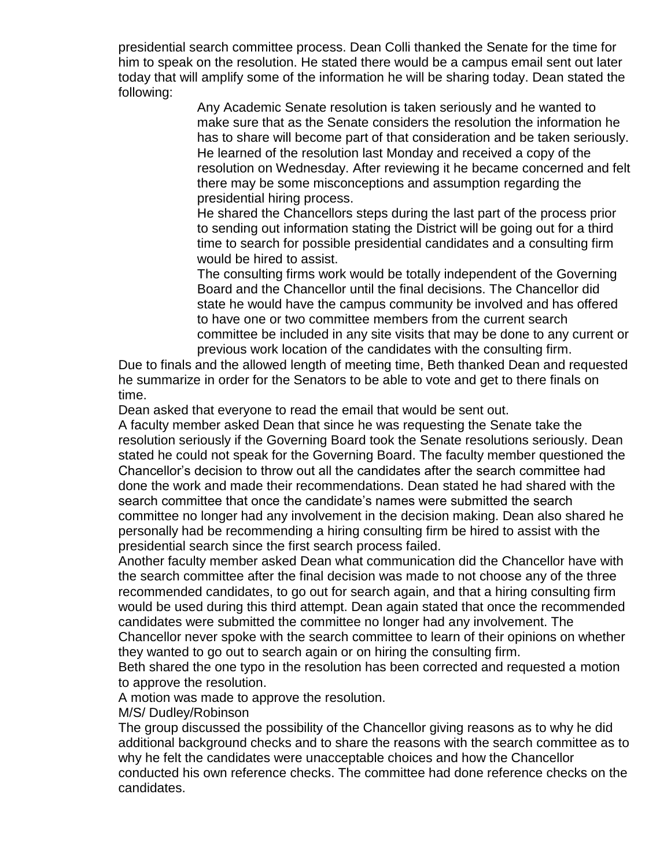presidential search committee process. Dean Colli thanked the Senate for the time for him to speak on the resolution. He stated there would be a campus email sent out later today that will amplify some of the information he will be sharing today. Dean stated the following:

> Any Academic Senate resolution is taken seriously and he wanted to make sure that as the Senate considers the resolution the information he has to share will become part of that consideration and be taken seriously. He learned of the resolution last Monday and received a copy of the resolution on Wednesday. After reviewing it he became concerned and felt there may be some misconceptions and assumption regarding the presidential hiring process.

He shared the Chancellors steps during the last part of the process prior to sending out information stating the District will be going out for a third time to search for possible presidential candidates and a consulting firm would be hired to assist.

The consulting firms work would be totally independent of the Governing Board and the Chancellor until the final decisions. The Chancellor did state he would have the campus community be involved and has offered to have one or two committee members from the current search committee be included in any site visits that may be done to any current or previous work location of the candidates with the consulting firm.

Due to finals and the allowed length of meeting time, Beth thanked Dean and requested he summarize in order for the Senators to be able to vote and get to there finals on time.

Dean asked that everyone to read the email that would be sent out.

A faculty member asked Dean that since he was requesting the Senate take the resolution seriously if the Governing Board took the Senate resolutions seriously. Dean stated he could not speak for the Governing Board. The faculty member questioned the Chancellor's decision to throw out all the candidates after the search committee had done the work and made their recommendations. Dean stated he had shared with the search committee that once the candidate's names were submitted the search committee no longer had any involvement in the decision making. Dean also shared he personally had be recommending a hiring consulting firm be hired to assist with the presidential search since the first search process failed.

Another faculty member asked Dean what communication did the Chancellor have with the search committee after the final decision was made to not choose any of the three recommended candidates, to go out for search again, and that a hiring consulting firm would be used during this third attempt. Dean again stated that once the recommended candidates were submitted the committee no longer had any involvement. The Chancellor never spoke with the search committee to learn of their opinions on whether they wanted to go out to search again or on hiring the consulting firm.

Beth shared the one typo in the resolution has been corrected and requested a motion to approve the resolution.

A motion was made to approve the resolution.

M/S/ Dudley/Robinson

The group discussed the possibility of the Chancellor giving reasons as to why he did additional background checks and to share the reasons with the search committee as to why he felt the candidates were unacceptable choices and how the Chancellor conducted his own reference checks. The committee had done reference checks on the candidates.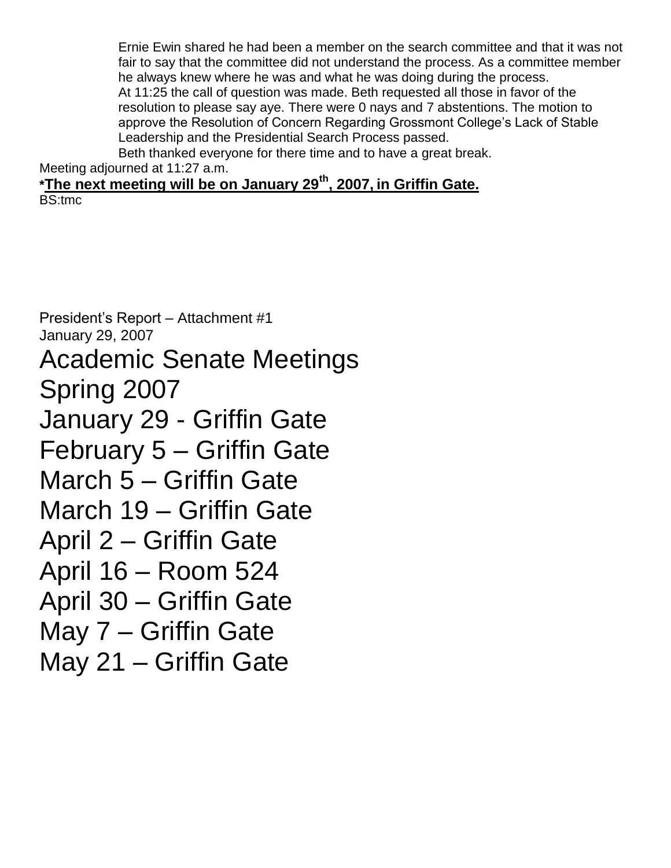Ernie Ewin shared he had been a member on the search committee and that it was not fair to say that the committee did not understand the process. As a committee member he always knew where he was and what he was doing during the process. At 11:25 the call of question was made. Beth requested all those in favor of the resolution to please say aye. There were 0 nays and 7 abstentions. The motion to approve the Resolution of Concern Regarding Grossmont College's Lack of Stable Leadership and the Presidential Search Process passed.

Beth thanked everyone for there time and to have a great break. Meeting adjourned at 11:27 a.m.

**\*The next meeting will be on January 29th, 2007, in Griffin Gate.** BS:tmc

President's Report – Attachment #1 January 29, 2007 Academic Senate Meetings Spring 2007 January 29 - Griffin Gate February 5 – Griffin Gate March 5 – Griffin Gate March 19 – Griffin Gate April 2 – Griffin Gate April 16 – Room 524 April 30 – Griffin Gate May 7 – Griffin Gate May 21 – Griffin Gate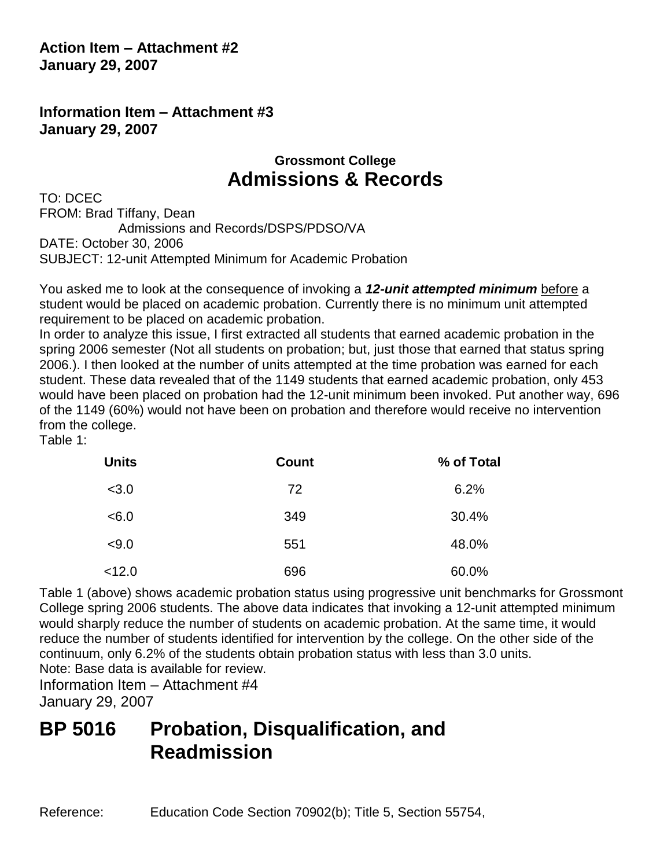**Action Item – Attachment #2 January 29, 2007**

**Information Item – Attachment #3 January 29, 2007**

# **Grossmont College Admissions & Records**

TO: DCEC FROM: Brad Tiffany, Dean Admissions and Records/DSPS/PDSO/VA DATE: October 30, 2006 SUBJECT: 12-unit Attempted Minimum for Academic Probation

You asked me to look at the consequence of invoking a *12-unit attempted minimum* before a student would be placed on academic probation. Currently there is no minimum unit attempted requirement to be placed on academic probation.

In order to analyze this issue, I first extracted all students that earned academic probation in the spring 2006 semester (Not all students on probation; but, just those that earned that status spring 2006.). I then looked at the number of units attempted at the time probation was earned for each student. These data revealed that of the 1149 students that earned academic probation, only 453 would have been placed on probation had the 12-unit minimum been invoked. Put another way, 696 of the 1149 (60%) would not have been on probation and therefore would receive no intervention from the college.

Table 1:

| <b>Units</b> | <b>Count</b> | % of Total |
|--------------|--------------|------------|
| < 3.0        | 72           | 6.2%       |
| < 6.0        | 349          | 30.4%      |
| < 9.0        | 551          | 48.0%      |
| < 12.0       | 696          | 60.0%      |

Table 1 (above) shows academic probation status using progressive unit benchmarks for Grossmont College spring 2006 students. The above data indicates that invoking a 12-unit attempted minimum would sharply reduce the number of students on academic probation. At the same time, it would reduce the number of students identified for intervention by the college. On the other side of the continuum, only 6.2% of the students obtain probation status with less than 3.0 units. Note: Base data is available for review.

Information Item – Attachment #4 January 29, 2007

# **BP 5016 Probation, Disqualification, and Readmission**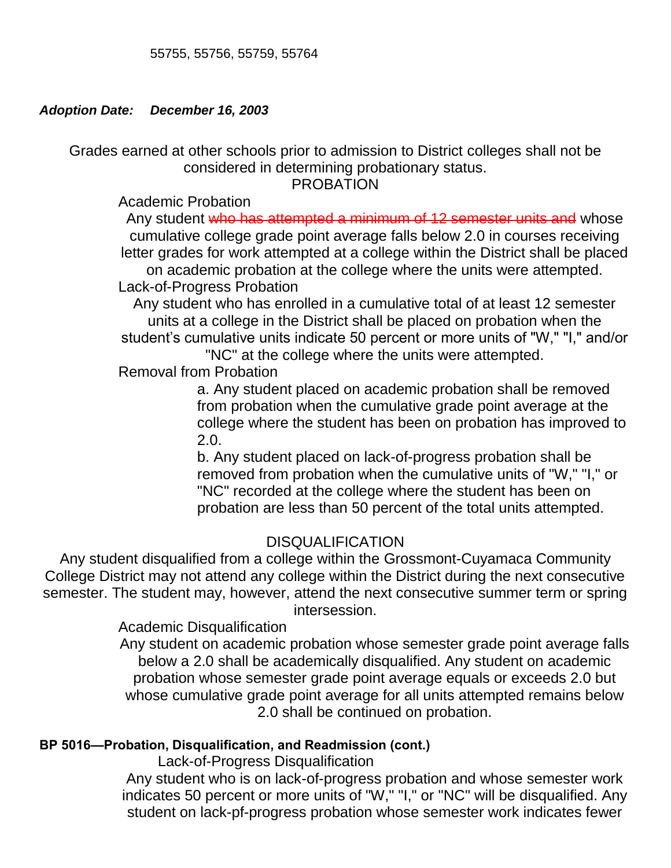## *Adoption Date: December 16, 2003*

Grades earned at other schools prior to admission to District colleges shall not be considered in determining probationary status.

PROBATION

Academic Probation

Any student who has attempted a minimum of 12 semester units and whose cumulative college grade point average falls below 2.0 in courses receiving letter grades for work attempted at a college within the District shall be placed on academic probation at the college where the units were attempted. Lack-of-Progress Probation

# Any student who has enrolled in a cumulative total of at least 12 semester units at a college in the District shall be placed on probation when the student's cumulative units indicate 50 percent or more units of "W," "I," and/or

"NC" at the college where the units were attempted.

Removal from Probation

a. Any student placed on academic probation shall be removed from probation when the cumulative grade point average at the college where the student has been on probation has improved to 2.0.

b. Any student placed on lack-of-progress probation shall be removed from probation when the cumulative units of "W," "I," or "NC" recorded at the college where the student has been on probation are less than 50 percent of the total units attempted.

# DISQUALIFICATION

Any student disqualified from a college within the Grossmont-Cuyamaca Community College District may not attend any college within the District during the next consecutive semester. The student may, however, attend the next consecutive summer term or spring intersession.

# Academic Disqualification

Any student on academic probation whose semester grade point average falls below a 2.0 shall be academically disqualified. Any student on academic probation whose semester grade point average equals or exceeds 2.0 but whose cumulative grade point average for all units attempted remains below 2.0 shall be continued on probation.

# **BP 5016—Probation, Disqualification, and Readmission (cont.)**

Lack-of-Progress Disqualification

Any student who is on lack-of-progress probation and whose semester work indicates 50 percent or more units of "W," "I," or "NC" will be disqualified. Any student on lack-pf-progress probation whose semester work indicates fewer